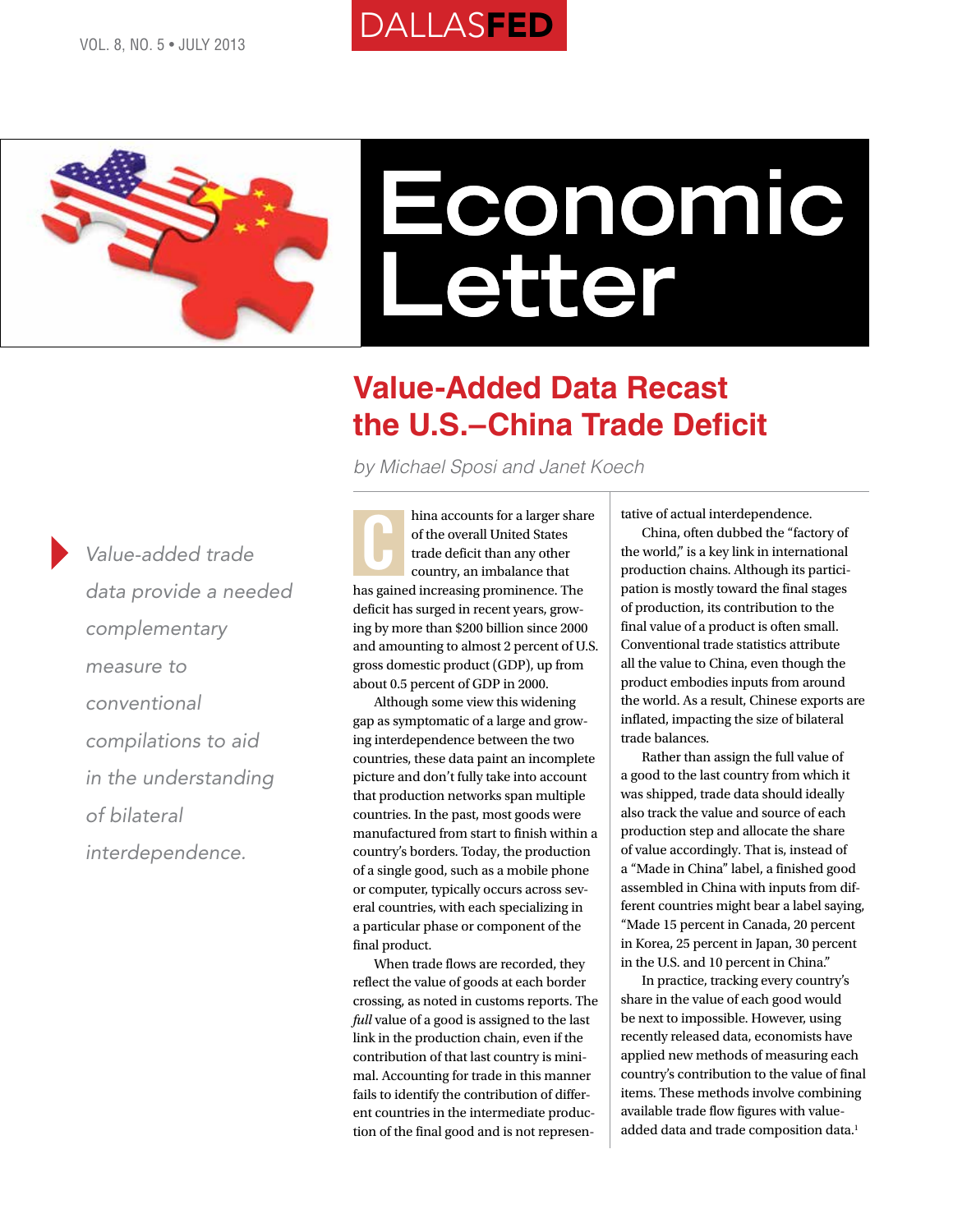# **DALLASFED**



## **Value-Added Data Recast the U.S.–China Trade Deficit**

*by Michael Sposi and Janet Koech*

*Value-added trade data provide a needed complementary measure to conventional compilations to aid in the understanding of bilateral interdependence.*

hina accounts for a larger share of the overall United States trade deficit than any other country, an imbalance that has gained increasing prominence. The deficit has surged in recent years, growing by more than \$200 billion since 2000 and amounting to almost 2 percent of U.S. gross domestic product (GDP), up from about 0.5 percent of GDP in 2000. C

Although some view this widening gap as symptomatic of a large and growing interdependence between the two countries, these data paint an incomplete picture and don't fully take into account that production networks span multiple countries. In the past, most goods were manufactured from start to finish within a country's borders. Today, the production of a single good, such as a mobile phone or computer, typically occurs across several countries, with each specializing in a particular phase or component of the final product.

When trade flows are recorded, they reflect the value of goods at each border crossing, as noted in customs reports. The *full* value of a good is assigned to the last link in the production chain, even if the contribution of that last country is minimal. Accounting for trade in this manner fails to identify the contribution of different countries in the intermediate production of the final good and is not representative of actual interdependence.

China, often dubbed the "factory of the world," is a key link in international production chains. Although its participation is mostly toward the final stages of production, its contribution to the final value of a product is often small. Conventional trade statistics attribute all the value to China, even though the product embodies inputs from around the world. As a result, Chinese exports are inflated, impacting the size of bilateral trade balances.

Rather than assign the full value of a good to the last country from which it was shipped, trade data should ideally also track the value and source of each production step and allocate the share of value accordingly. That is, instead of a "Made in China" label, a finished good assembled in China with inputs from different countries might bear a label saying, "Made 15 percent in Canada, 20 percent in Korea, 25 percent in Japan, 30 percent in the U.S. and 10 percent in China."

In practice, tracking every country's share in the value of each good would be next to impossible. However, using recently released data, economists have applied new methods of measuring each country's contribution to the value of final items. These methods involve combining available trade flow figures with valueadded data and trade composition data.<sup>1</sup>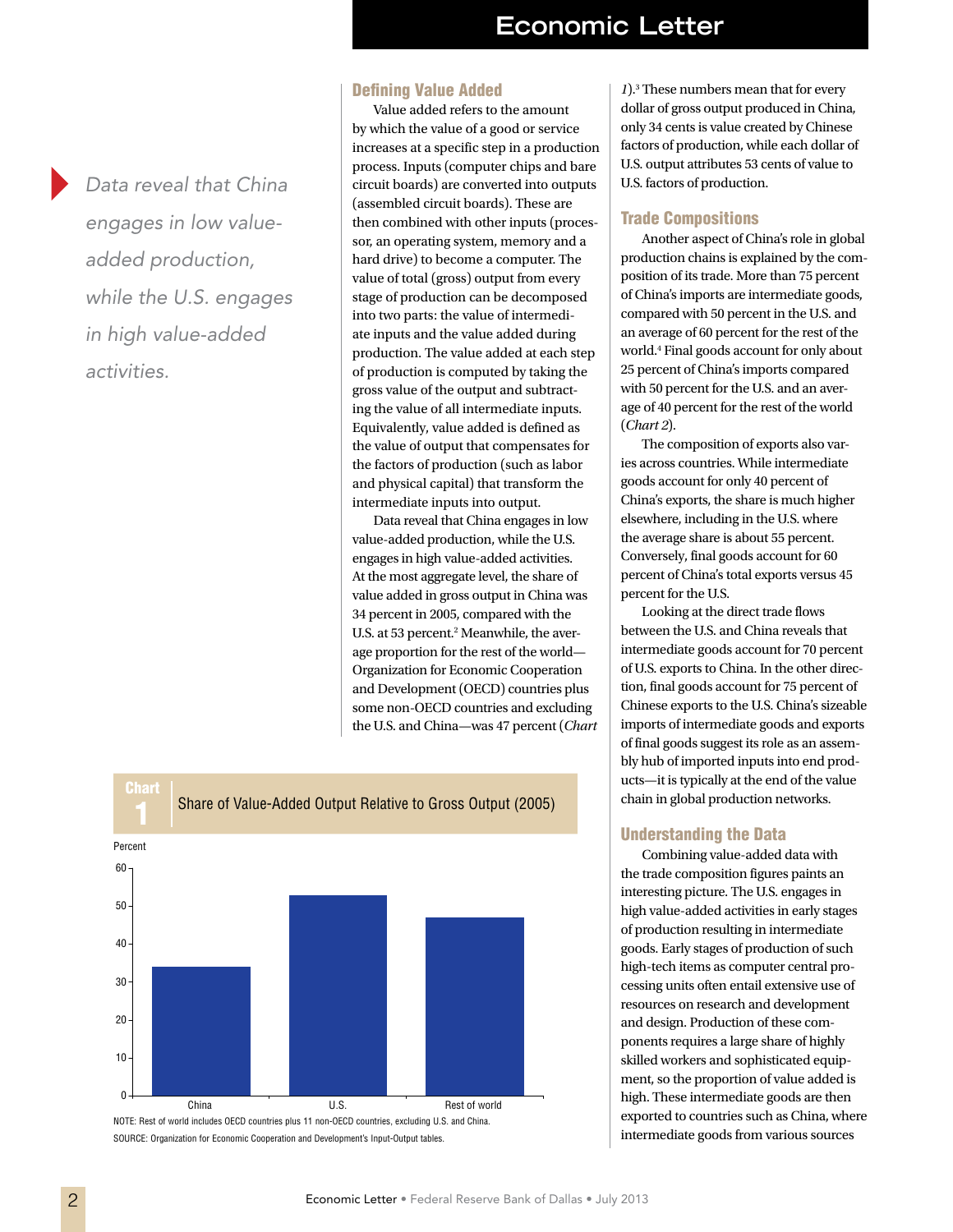*Data reveal that China engages in low valueadded production, while the U.S. engages in high value-added activities.*

#### Defining Value Added

Value added refers to the amount by which the value of a good or service increases at a specific step in a production process. Inputs (computer chips and bare circuit boards) are converted into outputs (assembled circuit boards). These are then combined with other inputs (processor, an operating system, memory and a hard drive) to become a computer. The value of total (gross) output from every stage of production can be decomposed into two parts: the value of intermediate inputs and the value added during production. The value added at each step of production is computed by taking the gross value of the output and subtracting the value of all intermediate inputs. Equivalently, value added is defined as the value of output that compensates for the factors of production (such as labor and physical capital) that transform the intermediate inputs into output.

Data reveal that China engages in low value-added production, while the U.S. engages in high value-added activities. At the most aggregate level, the share of value added in gross output in China was 34 percent in 2005, compared with the U.S. at 53 percent.<sup>2</sup> Meanwhile, the average proportion for the rest of the world— Organization for Economic Cooperation and Development (OECD) countries plus some non-OECD countries and excluding the U.S. and China—was 47 percent (*Chart* 



NOTE: Rest of world includes OECD countries plus 11 non-OECD countries, excluding U.S. and China. SOURCE: Organization for Economic Cooperation and Development's Input-Output tables.

*1*).3 These numbers mean that for every dollar of gross output produced in China, only 34 cents is value created by Chinese factors of production, while each dollar of U.S. output attributes 53 cents of value to U.S. factors of production.

#### Trade Compositions

Another aspect of China's role in global production chains is explained by the composition of its trade. More than 75 percent of China's imports are intermediate goods, compared with 50 percent in the U.S. and an average of 60 percent for the rest of the world.4 Final goods account for only about 25 percent of China's imports compared with 50 percent for the U.S. and an average of 40 percent for the rest of the world (*Chart 2*).

The composition of exports also varies across countries. While intermediate goods account for only 40 percent of China's exports, the share is much higher elsewhere, including in the U.S. where the average share is about 55 percent. Conversely, final goods account for 60 percent of China's total exports versus 45 percent for the U.S.

Looking at the direct trade flows between the U.S. and China reveals that intermediate goods account for 70 percent of U.S. exports to China. In the other direction, final goods account for 75 percent of Chinese exports to the U.S. China's sizeable imports of intermediate goods and exports of final goods suggest its role as an assembly hub of imported inputs into end products—it is typically at the end of the value chain in global production networks.

#### Understanding the Data

Combining value-added data with the trade composition figures paints an interesting picture. The U.S. engages in high value-added activities in early stages of production resulting in intermediate goods. Early stages of production of such high-tech items as computer central processing units often entail extensive use of resources on research and development and design. Production of these components requires a large share of highly skilled workers and sophisticated equipment, so the proportion of value added is high. These intermediate goods are then exported to countries such as China, where intermediate goods from various sources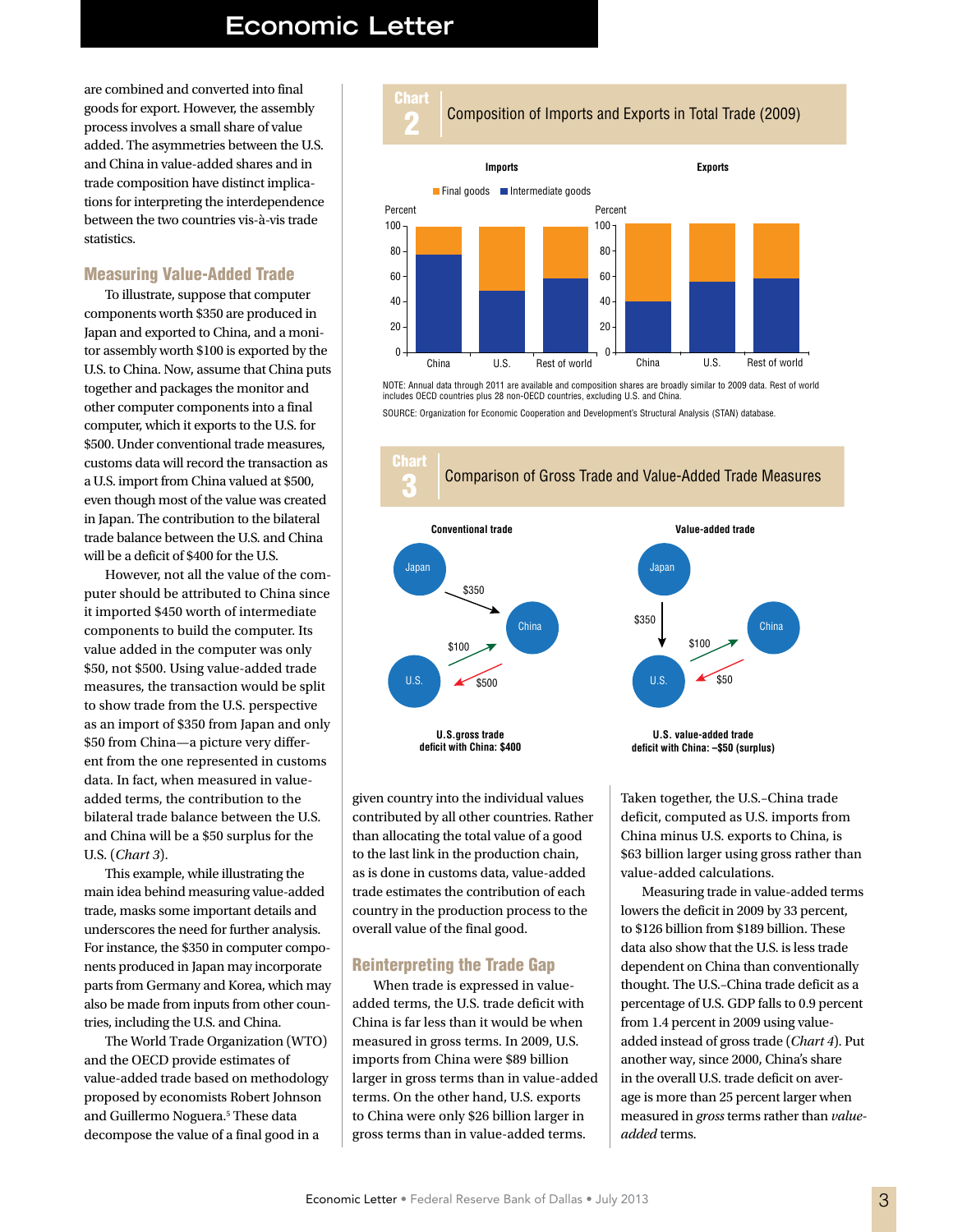are combined and converted into final goods for export. However, the assembly process involves a small share of value added. The asymmetries between the U.S. and China in value-added shares and in trade composition have distinct implications for interpreting the interdependence between the two countries vis-à-vis trade statistics.

#### Measuring Value-Added Trade

To illustrate, suppose that computer components worth \$350 are produced in Japan and exported to China, and a monitor assembly worth \$100 is exported by the U.S. to China. Now, assume that China puts together and packages the monitor and other computer components into a final computer, which it exports to the U.S. for \$500. Under conventional trade measures, customs data will record the transaction as a U.S. import from China valued at \$500, even though most of the value was created in Japan. The contribution to the bilateral trade balance between the U.S. and China will be a deficit of \$400 for the U.S.

However, not all the value of the computer should be attributed to China since it imported \$450 worth of intermediate components to build the computer. Its value added in the computer was only \$50, not \$500. Using value-added trade measures, the transaction would be split to show trade from the U.S. perspective as an import of \$350 from Japan and only \$50 from China—a picture very different from the one represented in customs data. In fact, when measured in valueadded terms, the contribution to the bilateral trade balance between the U.S. and China will be a \$50 surplus for the U.S. (*Chart 3*).

This example, while illustrating the main idea behind measuring value-added trade, masks some important details and underscores the need for further analysis. For instance, the \$350 in computer components produced in Japan may incorporate parts from Germany and Korea, which may also be made from inputs from other countries, including the U.S. and China.

The World Trade Organization (WTO) and the OECD provide estimates of value-added trade based on methodology proposed by economists Robert Johnson and Guillermo Noguera.<sup>5</sup> These data decompose the value of a final good in a





NOTE: Annual data through 2011 are available and composition shares are broadly similar to 2009 data. Rest of world includes OECD countries plus 28 non-OECD countries, excluding U.S. and China.

SOURCE: Organization for Economic Cooperation and Development's Structural Analysis (STAN) database.



given country into the individual values contributed by all other countries. Rather than allocating the total value of a good to the last link in the production chain, as is done in customs data, value-added trade estimates the contribution of each country in the production process to the overall value of the final good.

#### Reinterpreting the Trade Gap

When trade is expressed in valueadded terms, the U.S. trade deficit with China is far less than it would be when measured in gross terms. In 2009, U.S. imports from China were \$89 billion larger in gross terms than in value-added terms. On the other hand, U.S. exports to China were only \$26 billion larger in gross terms than in value-added terms.

**U.S. value-added trade** China and China China China and China China China China China China China China China China China China China \$350 \$100 \$50



Taken together, the U.S.–China trade deficit, computed as U.S. imports from China minus U.S. exports to China, is \$63 billion larger using gross rather than value-added calculations.

Measuring trade in value-added terms lowers the deficit in 2009 by 33 percent, to \$126 billion from \$189 billion. These data also show that the U.S. is less trade dependent on China than conventionally thought. The U.S.–China trade deficit as a percentage of U.S. GDP falls to 0.9 percent from 1.4 percent in 2009 using valueadded instead of gross trade (*Chart 4*). Put another way, since 2000, China's share in the overall U.S. trade deficit on average is more than 25 percent larger when measured in *gross* terms rather than *valueadded* terms.